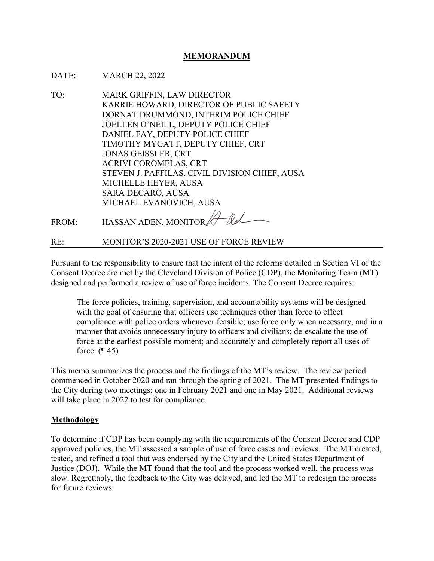## **MEMORANDUM**

DATE: MARCH 22, 2022

TO: MARK GRIFFIN, LAW DIRECTOR KARRIE HOWARD, DIRECTOR OF PUBLIC SAFETY DORNAT DRUMMOND, INTERIM POLICE CHIEF JOELLEN O'NEILL, DEPUTY POLICE CHIEF DANIEL FAY, DEPUTY POLICE CHIEF TIMOTHY MYGATT, DEPUTY CHIEF, CRT JONAS GEISSLER, CRT ACRIVI COROMELAS, CRT STEVEN J. PAFFILAS, CIVIL DIVISION CHIEF, AUSA MICHELLE HEYER, AUSA SARA DECARO, AUSA MICHAEL EVANOVICH, AUSA

FROM: HASSAN ADEN, MONITOR A lel

RE: MONITOR'S 2020-2021 USE OF FORCE REVIEW

Pursuant to the responsibility to ensure that the intent of the reforms detailed in Section VI of the Consent Decree are met by the Cleveland Division of Police (CDP), the Monitoring Team (MT) designed and performed a review of use of force incidents. The Consent Decree requires:

The force policies, training, supervision, and accountability systems will be designed with the goal of ensuring that officers use techniques other than force to effect compliance with police orders whenever feasible; use force only when necessary, and in a manner that avoids unnecessary injury to officers and civilians; de-escalate the use of force at the earliest possible moment; and accurately and completely report all uses of force.  $($ ¶ 45)

This memo summarizes the process and the findings of the MT's review. The review period commenced in October 2020 and ran through the spring of 2021. The MT presented findings to the City during two meetings: one in February 2021 and one in May 2021. Additional reviews will take place in 2022 to test for compliance.

## **Methodology**

To determine if CDP has been complying with the requirements of the Consent Decree and CDP approved policies, the MT assessed a sample of use of force cases and reviews. The MT created, tested, and refined a tool that was endorsed by the City and the United States Department of Justice (DOJ). While the MT found that the tool and the process worked well, the process was slow. Regrettably, the feedback to the City was delayed, and led the MT to redesign the process for future reviews.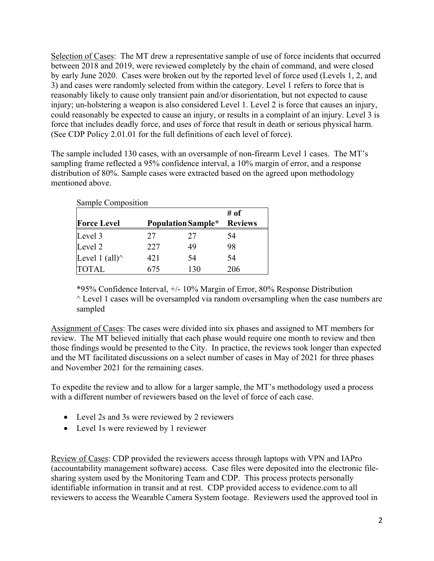Selection of Cases: The MT drew a representative sample of use of force incidents that occurred between 2018 and 2019, were reviewed completely by the chain of command, and were closed by early June 2020. Cases were broken out by the reported level of force used (Levels 1, 2, and 3) and cases were randomly selected from within the category. Level 1 refers to force that is reasonably likely to cause only transient pain and/or disorientation, but not expected to cause injury; un-holstering a weapon is also considered Level 1. Level 2 is force that causes an injury, could reasonably be expected to cause an injury, or results in a complaint of an injury. Level 3 is force that includes deadly force, and uses of force that result in death or serious physical harm. (See CDP Policy 2.01.01 for the full definitions of each level of force).

The sample included 130 cases, with an oversample of non-firearm Level 1 cases. The MT's sampling frame reflected a 95% confidence interval, a 10% margin of error, and a response distribution of 80%. Sample cases were extracted based on the agreed upon methodology mentioned above.

| Sample Composition     |                           |     |                |
|------------------------|---------------------------|-----|----------------|
|                        |                           |     | # of           |
| <b>Force Level</b>     | <b>Population Sample*</b> |     | <b>Reviews</b> |
| Level 3                | 27                        | 27  | 54             |
| Level 2                | 227                       | 49  | 98             |
| Level 1 (all) $\wedge$ | 421                       | 54  | 54             |
| <b>TOTAL</b>           | 675                       | 130 | 206            |

\*95% Confidence Interval, +/- 10% Margin of Error, 80% Response Distribution  $\wedge$  Level 1 cases will be oversampled via random oversampling when the case numbers are sampled

Assignment of Cases: The cases were divided into six phases and assigned to MT members for review. The MT believed initially that each phase would require one month to review and then those findings would be presented to the City. In practice, the reviews took longer than expected and the MT facilitated discussions on a select number of cases in May of 2021 for three phases and November 2021 for the remaining cases.

To expedite the review and to allow for a larger sample, the MT's methodology used a process with a different number of reviewers based on the level of force of each case.

- Level 2s and 3s were reviewed by 2 reviewers
- Level 1s were reviewed by 1 reviewer

Review of Cases: CDP provided the reviewers access through laptops with VPN and IAPro (accountability management software) access. Case files were deposited into the electronic filesharing system used by the Monitoring Team and CDP. This process protects personally identifiable information in transit and at rest. CDP provided access to evidence.com to all reviewers to access the Wearable Camera System footage. Reviewers used the approved tool in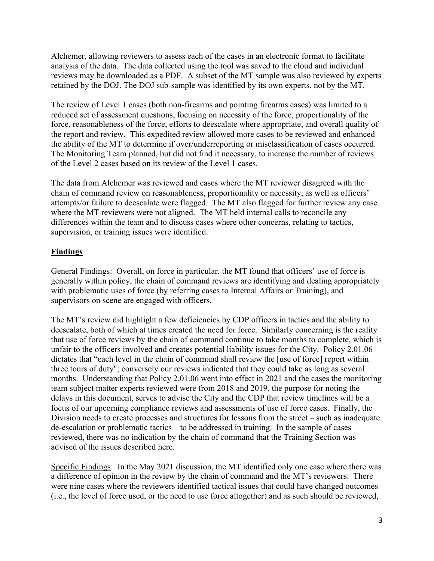Alchemer, allowing reviewers to assess each of the cases in an electronic format to facilitate analysis of the data. The data collected using the tool was saved to the cloud and individual reviews may be downloaded as a PDF. A subset of the MT sample was also reviewed by experts retained by the DOJ. The DOJ sub-sample was identified by its own experts, not by the MT.

The review of Level 1 cases (both non-firearms and pointing firearms cases) was limited to a reduced set of assessment questions, focusing on necessity of the force, proportionality of the force, reasonableness of the force, efforts to deescalate where appropriate, and overall quality of the report and review. This expedited review allowed more cases to be reviewed and enhanced the ability of the MT to determine if over/underreporting or misclassification of cases occurred. The Monitoring Team planned, but did not find it necessary, to increase the number of reviews of the Level 2 cases based on its review of the Level 1 cases.

The data from Alchemer was reviewed and cases where the MT reviewer disagreed with the chain of command review on reasonableness, proportionality or necessity, as well as officers' attempts/or failure to deescalate were flagged. The MT also flagged for further review any case where the MT reviewers were not aligned. The MT held internal calls to reconcile any differences within the team and to discuss cases where other concerns, relating to tactics, supervision, or training issues were identified.

## **Findings**

General Findings: Overall, on force in particular, the MT found that officers' use of force is generally within policy, the chain of command reviews are identifying and dealing appropriately with problematic uses of force (by referring cases to Internal Affairs or Training), and supervisors on scene are engaged with officers.

The MT's review did highlight a few deficiencies by CDP officers in tactics and the ability to deescalate, both of which at times created the need for force. Similarly concerning is the reality that use of force reviews by the chain of command continue to take months to complete, which is unfair to the officers involved and creates potential liability issues for the City. Policy 2.01.06 dictates that "each level in the chain of command shall review the [use of force] report within three tours of duty"; conversely our reviews indicated that they could take as long as several months. Understanding that Policy 2.01.06 went into effect in 2021 and the cases the monitoring team subject matter experts reviewed were from 2018 and 2019, the purpose for noting the delays in this document, serves to advise the City and the CDP that review timelines will be a focus of our upcoming compliance reviews and assessments of use of force cases. Finally, the Division needs to create processes and structures for lessons from the street – such as inadequate de-escalation or problematic tactics – to be addressed in training. In the sample of cases reviewed, there was no indication by the chain of command that the Training Section was advised of the issues described here.

Specific Findings: In the May 2021 discussion, the MT identified only one case where there was a difference of opinion in the review by the chain of command and the MT's reviewers. There were nine cases where the reviewers identified tactical issues that could have changed outcomes (i.e., the level of force used, or the need to use force altogether) and as such should be reviewed,